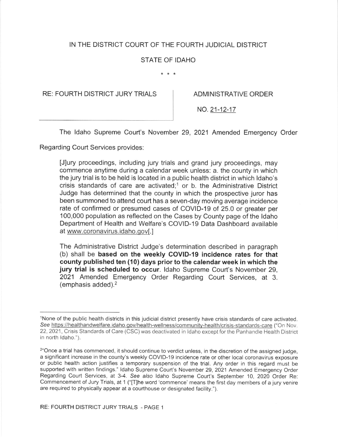# IN THE DISTRICT COURT OF THE FOURTH JUDICIAL DISTRICT

# STATE OF IDAHO

 $* * *$ 

RE: FOURTH DISTRICT JURY TRIALS ADMINISTRATIVE ORDER

NO.21-12-17

The ldaho Supreme Court's November 29, 2021 Amended Emergency Order

Regarding Court Services provides:

[J]urv proceedings, including jury trials and grand jury proceedings, may commence anytime during a calendar week unless: a. the county in which the jury trial is to be held is located in a public health district in which ldaho's crisis standards of care are activated;<sup>1</sup> or b. the Administrative District Judge has determined that the county in which the prospective juror has been summoned to attend court has a seven-day moving average incidence rate of confirmed or presumed cases of COVID-19 of 25.0 or greater per 100,000 population as reflected on the Cases by County page of the Idaho Department of Health and Welfare's COVID-19 Data Dashboard available at www.coronavirus.idaho.qov[.]

The Administrative District Judge's determination described in paragraph (b) shall be based on the weekly COVID-19 incidence rates for that county published ten (10) days prior to the calendar week in which the jury trial is scheduled to occur. Idaho Supreme Court's November 29. 2021 Amended Emergency Order Regarding Court Services, at 3. (emphasis added).2

lNone of the public health districts in this judicial district presently have crisis standards of care activated. See https://healthandwelfare.idaho.gov/health-wellness/community-health/crisis-standards-care ("On Nov. 22,2021 , Crisis Standards of Care (CSC) was deactivated in ldaho except for the Panhandle Health District in north ldaho.").

<sup>&</sup>lt;sup>2"</sup>Once a trial has commenced, it should continue to verdict unless, in the discretion of the assigned judge, a significant increase in the county's weekly COVID-19 incidence rate or other local coronavirus exposure or public health action justifies a temporary suspension of the trial. Any order in this regard must be supported with written findings." Idaho Supreme Court's November 29, 2021 Amended Emergency Order Regarding Court Services, at 3-4. See also Idaho Supreme Court's September 10, 2020 Order Re: Commencement of Jury Trials, at 1 ('[f]he word 'commence' means the first day members of a jury venire are required to physically appear at a courthouse or designated facility.").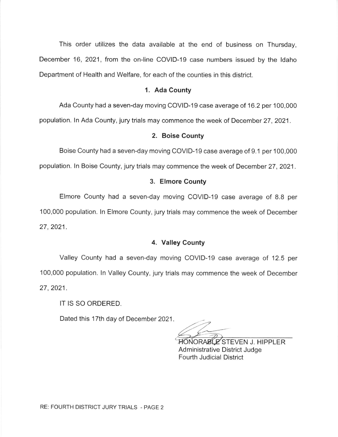This order utilizes the data available at the end of business on Thursday, December 16, 2021, from the on-line COVID-19 case numbers issued by the Idaho Department of Health and Welfare, for each of the counties in this district.

### 1. Ada County

Ada County had a seven-day moving COVID-19 case average of 16.2 per 100,000 population. ln Ada County, jury trials may commence the week of December 27,2021.

#### 2. Boise County

Boise County had a seven-day moving COVID-19 case average of 9.1 per 100,000 population. ln Boise County, jury trials may commence the week of December 27,2021.

## 3. Elmore County

Elmore County had a seven-day moving COVID-19 case average of 8.8 per 100,000 population. ln Elmore County, jury trials may commence the week of December 27,2021 .

## 4. Valley County

Valley County had a seven-day moving COVID-19 case average of 12.5 per 100,000 population. ln Valley County, jury trials may commence the week of December 27,2021 .

IT IS SO ORDERED.

Dated this 17th day of December 2021

HONORABLE STEVEN J. HIPPLER Administrative District Judge Fourth Judicial District